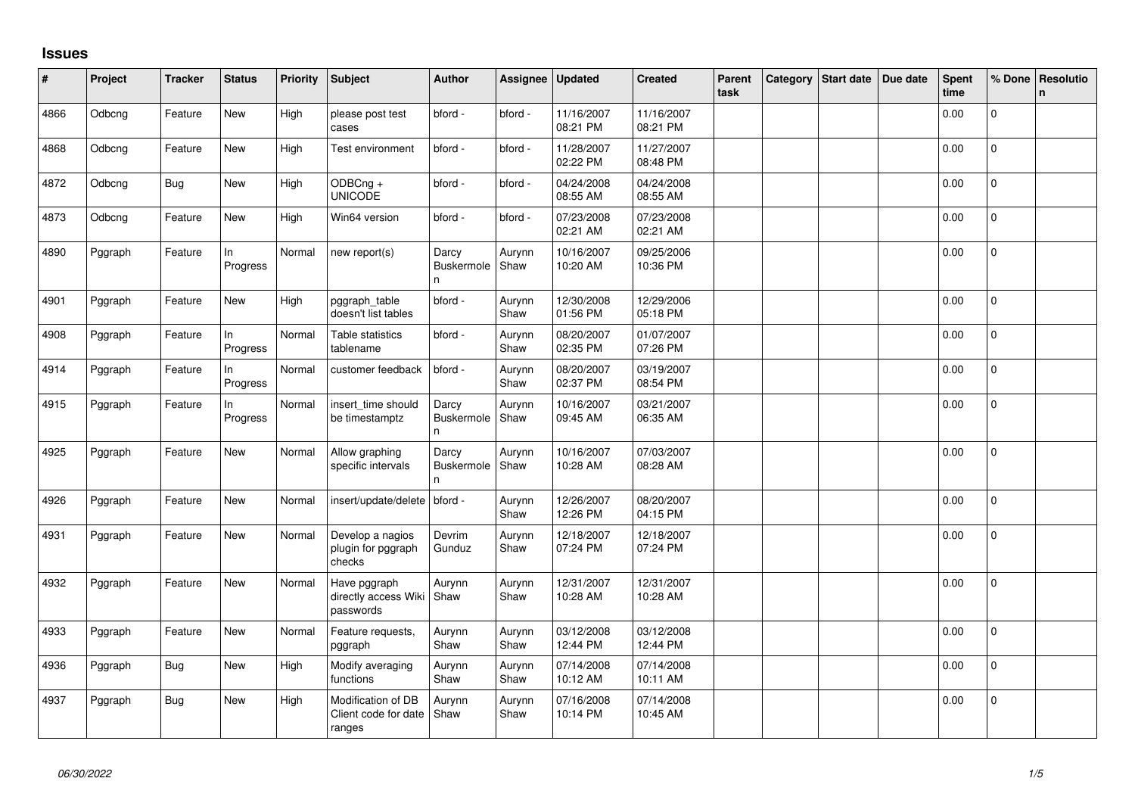## **Issues**

| #    | Project | <b>Tracker</b> | <b>Status</b>   | Priority | <b>Subject</b>                                       | <b>Author</b>                    | Assignee       | Updated                | <b>Created</b>         | Parent<br>task | Category | <b>Start date</b> | Due date | <b>Spent</b><br>time | % Done       | <b>Resolutio</b><br>$\mathsf{n}$ |
|------|---------|----------------|-----------------|----------|------------------------------------------------------|----------------------------------|----------------|------------------------|------------------------|----------------|----------|-------------------|----------|----------------------|--------------|----------------------------------|
| 4866 | Odbcng  | Feature        | New             | High     | please post test<br>cases                            | bford -                          | bford -        | 11/16/2007<br>08:21 PM | 11/16/2007<br>08:21 PM |                |          |                   |          | 0.00                 | $\Omega$     |                                  |
| 4868 | Odbcng  | Feature        | New             | High     | Test environment                                     | bford -                          | bford -        | 11/28/2007<br>02:22 PM | 11/27/2007<br>08:48 PM |                |          |                   |          | 0.00                 | $\Omega$     |                                  |
| 4872 | Odbcng  | <b>Bug</b>     | New             | High     | ODBCng +<br><b>UNICODE</b>                           | bford -                          | bford -        | 04/24/2008<br>08:55 AM | 04/24/2008<br>08:55 AM |                |          |                   |          | 0.00                 | $\Omega$     |                                  |
| 4873 | Odbcng  | Feature        | New             | High     | Win64 version                                        | bford -                          | bford -        | 07/23/2008<br>02:21 AM | 07/23/2008<br>02:21 AM |                |          |                   |          | 0.00                 | $\mathbf{0}$ |                                  |
| 4890 | Pggraph | Feature        | In<br>Progress  | Normal   | new report(s)                                        | Darcy<br><b>Buskermole</b><br>n  | Aurynn<br>Shaw | 10/16/2007<br>10:20 AM | 09/25/2006<br>10:36 PM |                |          |                   |          | 0.00                 | 0            |                                  |
| 4901 | Pggraph | Feature        | <b>New</b>      | High     | pggraph_table<br>doesn't list tables                 | bford -                          | Aurynn<br>Shaw | 12/30/2008<br>01:56 PM | 12/29/2006<br>05:18 PM |                |          |                   |          | 0.00                 | $\Omega$     |                                  |
| 4908 | Pggraph | Feature        | In.<br>Progress | Normal   | Table statistics<br>tablename                        | bford -                          | Aurynn<br>Shaw | 08/20/2007<br>02:35 PM | 01/07/2007<br>07:26 PM |                |          |                   |          | 0.00                 | $\mathbf{0}$ |                                  |
| 4914 | Pggraph | Feature        | In.<br>Progress | Normal   | customer feedback                                    | bford -                          | Aurynn<br>Shaw | 08/20/2007<br>02:37 PM | 03/19/2007<br>08:54 PM |                |          |                   |          | 0.00                 | $\mathbf{0}$ |                                  |
| 4915 | Pggraph | Feature        | In<br>Progress  | Normal   | insert_time should<br>be timestamptz                 | Darcy<br><b>Buskermole</b><br>n. | Aurynn<br>Shaw | 10/16/2007<br>09:45 AM | 03/21/2007<br>06:35 AM |                |          |                   |          | 0.00                 | 0            |                                  |
| 4925 | Pggraph | Feature        | <b>New</b>      | Normal   | Allow graphing<br>specific intervals                 | Darcy<br><b>Buskermole</b><br>n. | Aurynn<br>Shaw | 10/16/2007<br>10:28 AM | 07/03/2007<br>08:28 AM |                |          |                   |          | 0.00                 | $\Omega$     |                                  |
| 4926 | Pggraph | Feature        | New             | Normal   | insert/update/delete                                 | bford -                          | Aurynn<br>Shaw | 12/26/2007<br>12:26 PM | 08/20/2007<br>04:15 PM |                |          |                   |          | 0.00                 | $\mathbf{0}$ |                                  |
| 4931 | Pggraph | Feature        | <b>New</b>      | Normal   | Develop a nagios<br>plugin for pggraph<br>checks     | Devrim<br>Gunduz                 | Aurynn<br>Shaw | 12/18/2007<br>07:24 PM | 12/18/2007<br>07:24 PM |                |          |                   |          | 0.00                 | 0            |                                  |
| 4932 | Pggraph | Feature        | <b>New</b>      | Normal   | Have pggraph<br>directly access Wiki<br>passwords    | Aurynn<br>Shaw                   | Aurynn<br>Shaw | 12/31/2007<br>10:28 AM | 12/31/2007<br>10:28 AM |                |          |                   |          | 0.00                 | $\mathbf 0$  |                                  |
| 4933 | Pggraph | Feature        | <b>New</b>      | Normal   | Feature requests,<br>pggraph                         | Aurynn<br>Shaw                   | Aurynn<br>Shaw | 03/12/2008<br>12:44 PM | 03/12/2008<br>12:44 PM |                |          |                   |          | 0.00                 | $\Omega$     |                                  |
| 4936 | Pggraph | Bug            | New             | High     | Modify averaging<br>functions                        | Aurynn<br>Shaw                   | Aurynn<br>Shaw | 07/14/2008<br>10:12 AM | 07/14/2008<br>10:11 AM |                |          |                   |          | 0.00                 | $\Omega$     |                                  |
| 4937 | Pggraph | Bug            | New             | High     | Modification of DB<br>Client code for date<br>ranges | Aurynn<br>Shaw                   | Aurynn<br>Shaw | 07/16/2008<br>10:14 PM | 07/14/2008<br>10:45 AM |                |          |                   |          | 0.00                 | $\mathbf 0$  |                                  |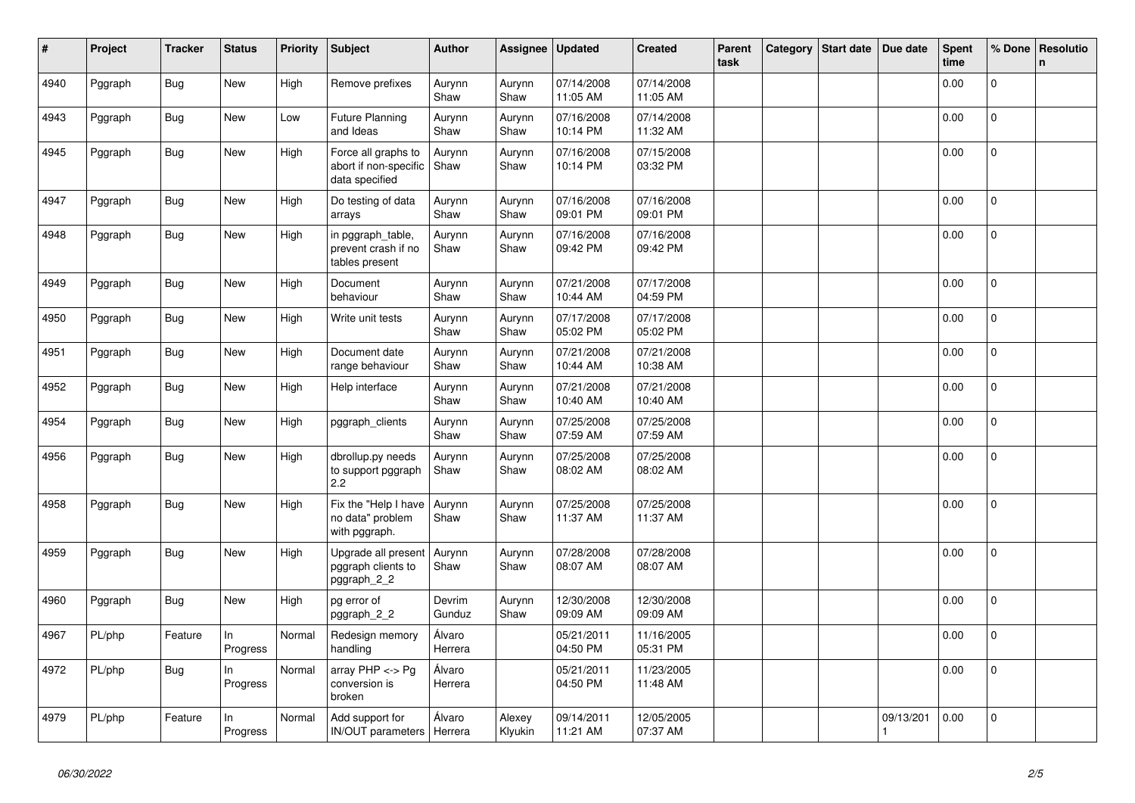| #    | Project | <b>Tracker</b> | <b>Status</b>   | <b>Priority</b> | <b>Subject</b>                                                 | <b>Author</b>     | Assignee          | <b>Updated</b>         | <b>Created</b>         | Parent<br>task | Category | <b>Start date</b> | Due date  | Spent<br>time | % Done       | Resolutio<br>n |
|------|---------|----------------|-----------------|-----------------|----------------------------------------------------------------|-------------------|-------------------|------------------------|------------------------|----------------|----------|-------------------|-----------|---------------|--------------|----------------|
| 4940 | Pggraph | <b>Bug</b>     | New             | High            | Remove prefixes                                                | Aurynn<br>Shaw    | Aurynn<br>Shaw    | 07/14/2008<br>11:05 AM | 07/14/2008<br>11:05 AM |                |          |                   |           | 0.00          | $\mathbf{0}$ |                |
| 4943 | Pggraph | <b>Bug</b>     | <b>New</b>      | Low             | <b>Future Planning</b><br>and Ideas                            | Aurynn<br>Shaw    | Aurynn<br>Shaw    | 07/16/2008<br>10:14 PM | 07/14/2008<br>11:32 AM |                |          |                   |           | 0.00          | $\mathbf{0}$ |                |
| 4945 | Pggraph | Bug            | New             | High            | Force all graphs to<br>abort if non-specific<br>data specified | Aurynn<br>Shaw    | Aurynn<br>Shaw    | 07/16/2008<br>10:14 PM | 07/15/2008<br>03:32 PM |                |          |                   |           | 0.00          | $\mathbf{0}$ |                |
| 4947 | Pggraph | <b>Bug</b>     | New             | High            | Do testing of data<br>arrays                                   | Aurynn<br>Shaw    | Aurynn<br>Shaw    | 07/16/2008<br>09:01 PM | 07/16/2008<br>09:01 PM |                |          |                   |           | 0.00          | $\mathbf{0}$ |                |
| 4948 | Pggraph | <b>Bug</b>     | New             | High            | in pggraph table,<br>prevent crash if no<br>tables present     | Aurynn<br>Shaw    | Aurynn<br>Shaw    | 07/16/2008<br>09:42 PM | 07/16/2008<br>09:42 PM |                |          |                   |           | 0.00          | 0            |                |
| 4949 | Pggraph | <b>Bug</b>     | New             | High            | Document<br>behaviour                                          | Aurynn<br>Shaw    | Aurynn<br>Shaw    | 07/21/2008<br>10:44 AM | 07/17/2008<br>04:59 PM |                |          |                   |           | 0.00          | $\Omega$     |                |
| 4950 | Pggraph | <b>Bug</b>     | <b>New</b>      | High            | Write unit tests                                               | Aurynn<br>Shaw    | Aurynn<br>Shaw    | 07/17/2008<br>05:02 PM | 07/17/2008<br>05:02 PM |                |          |                   |           | 0.00          | $\mathbf 0$  |                |
| 4951 | Pggraph | <b>Bug</b>     | New             | High            | Document date<br>range behaviour                               | Aurynn<br>Shaw    | Aurynn<br>Shaw    | 07/21/2008<br>10:44 AM | 07/21/2008<br>10:38 AM |                |          |                   |           | 0.00          | $\mathbf{0}$ |                |
| 4952 | Pggraph | <b>Bug</b>     | New             | High            | Help interface                                                 | Aurynn<br>Shaw    | Aurynn<br>Shaw    | 07/21/2008<br>10:40 AM | 07/21/2008<br>10:40 AM |                |          |                   |           | 0.00          | $\Omega$     |                |
| 4954 | Pggraph | <b>Bug</b>     | <b>New</b>      | High            | pggraph_clients                                                | Aurynn<br>Shaw    | Aurynn<br>Shaw    | 07/25/2008<br>07:59 AM | 07/25/2008<br>07:59 AM |                |          |                   |           | 0.00          | $\mathbf 0$  |                |
| 4956 | Pggraph | Bug            | New             | High            | dbrollup.py needs<br>to support pggraph<br>2.2                 | Aurynn<br>Shaw    | Aurynn<br>Shaw    | 07/25/2008<br>08:02 AM | 07/25/2008<br>08:02 AM |                |          |                   |           | 0.00          | $\mathbf{0}$ |                |
| 4958 | Pggraph | <b>Bug</b>     | <b>New</b>      | High            | Fix the "Help I have<br>no data" problem<br>with pggraph.      | Aurynn<br>Shaw    | Aurynn<br>Shaw    | 07/25/2008<br>11:37 AM | 07/25/2008<br>11:37 AM |                |          |                   |           | 0.00          | $\mathbf{0}$ |                |
| 4959 | Pggraph | Bug            | New             | High            | Upgrade all present<br>pggraph clients to<br>pggraph_2_2       | Aurynn<br>Shaw    | Aurynn<br>Shaw    | 07/28/2008<br>08:07 AM | 07/28/2008<br>08:07 AM |                |          |                   |           | 0.00          | $\mathbf 0$  |                |
| 4960 | Pggraph | <b>Bug</b>     | <b>New</b>      | High            | pg error of<br>pggraph_2_2                                     | Devrim<br>Gunduz  | Aurynn<br>Shaw    | 12/30/2008<br>09:09 AM | 12/30/2008<br>09:09 AM |                |          |                   |           | 0.00          | $\mathbf{0}$ |                |
| 4967 | PL/php  | Feature        | ln.<br>Progress | Normal          | Redesign memory<br>handling                                    | Álvaro<br>Herrera |                   | 05/21/2011<br>04:50 PM | 11/16/2005<br>05:31 PM |                |          |                   |           | 0.00          | $\mathsf{O}$ |                |
| 4972 | PL/php  | <b>Bug</b>     | ln.<br>Progress | Normal          | array PHP <-> Pg<br>conversion is<br>broken                    | Álvaro<br>Herrera |                   | 05/21/2011<br>04:50 PM | 11/23/2005<br>11:48 AM |                |          |                   |           | 0.00          | 0            |                |
| 4979 | PL/php  | Feature        | In<br>Progress  | Normal          | Add support for<br>IN/OUT parameters   Herrera                 | Álvaro            | Alexey<br>Klyukin | 09/14/2011<br>11:21 AM | 12/05/2005<br>07:37 AM |                |          |                   | 09/13/201 | 0.00          | $\mathbf 0$  |                |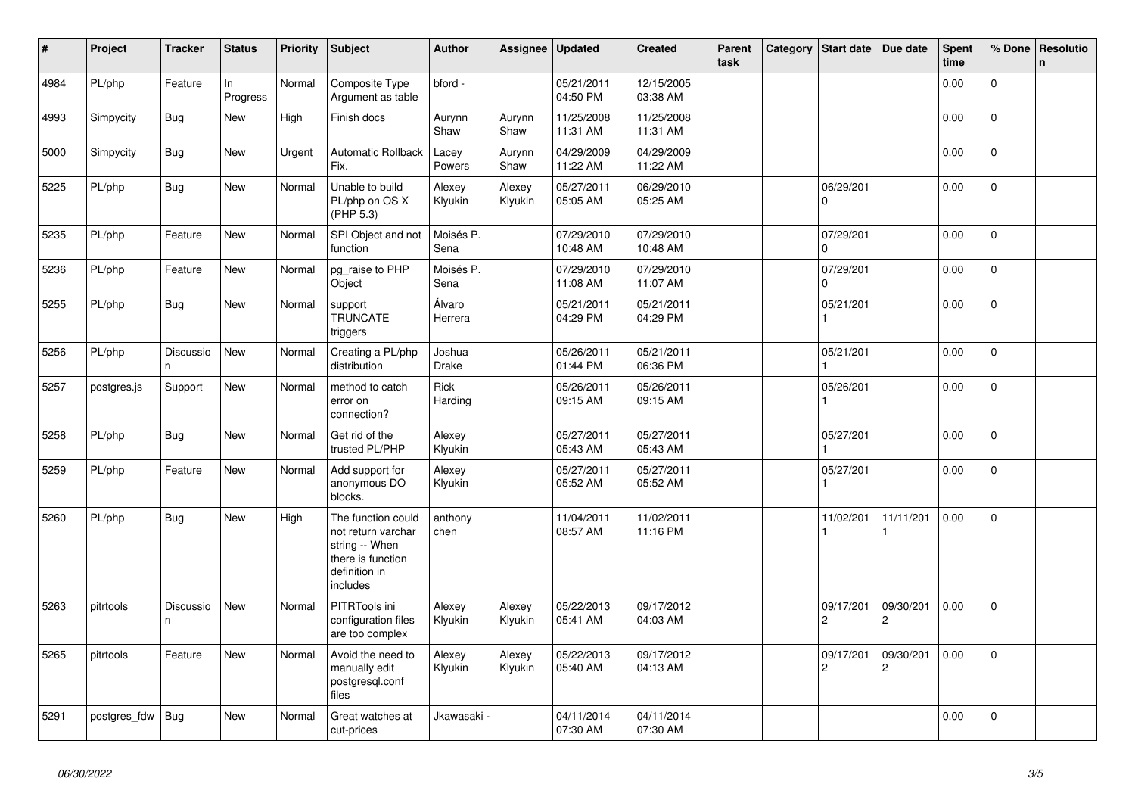| $\vert$ # | Project      | <b>Tracker</b>  | <b>Status</b>  | <b>Priority</b> | <b>Subject</b>                                                                                               | <b>Author</b>          | Assignee          | <b>Updated</b>         | <b>Created</b>         | Parent<br>task | Category | Start date                  | Due date                    | <b>Spent</b><br>time | % Done       | <b>Resolutio</b><br>n |
|-----------|--------------|-----------------|----------------|-----------------|--------------------------------------------------------------------------------------------------------------|------------------------|-------------------|------------------------|------------------------|----------------|----------|-----------------------------|-----------------------------|----------------------|--------------|-----------------------|
| 4984      | PL/php       | Feature         | ln<br>Progress | Normal          | Composite Type<br>Argument as table                                                                          | bford -                |                   | 05/21/2011<br>04:50 PM | 12/15/2005<br>03:38 AM |                |          |                             |                             | 0.00                 | $\Omega$     |                       |
| 4993      | Simpycity    | Bug             | New            | High            | Finish docs                                                                                                  | Aurynn<br>Shaw         | Aurynn<br>Shaw    | 11/25/2008<br>11:31 AM | 11/25/2008<br>11:31 AM |                |          |                             |                             | 0.00                 | $\mathbf 0$  |                       |
| 5000      | Simpycity    | <b>Bug</b>      | New            | Urgent          | <b>Automatic Rollback</b><br>Fix.                                                                            | Lacey<br>Powers        | Aurynn<br>Shaw    | 04/29/2009<br>11:22 AM | 04/29/2009<br>11:22 AM |                |          |                             |                             | 0.00                 | $\mathbf{0}$ |                       |
| 5225      | PL/php       | <b>Bug</b>      | <b>New</b>     | Normal          | Unable to build<br>PL/php on OS X<br>(PHP 5.3)                                                               | Alexey<br>Klyukin      | Alexey<br>Klyukin | 05/27/2011<br>05:05 AM | 06/29/2010<br>05:25 AM |                |          | 06/29/201<br>0              |                             | 0.00                 | $\Omega$     |                       |
| 5235      | PL/php       | Feature         | <b>New</b>     | Normal          | SPI Object and not<br>function                                                                               | Moisés P.<br>Sena      |                   | 07/29/2010<br>10:48 AM | 07/29/2010<br>10:48 AM |                |          | 07/29/201<br>$\Omega$       |                             | 0.00                 | $\Omega$     |                       |
| 5236      | PL/php       | Feature         | New            | Normal          | pg_raise to PHP<br>Object                                                                                    | Moisés P.<br>Sena      |                   | 07/29/2010<br>11:08 AM | 07/29/2010<br>11:07 AM |                |          | 07/29/201<br>$\Omega$       |                             | 0.00                 | $\mathbf{0}$ |                       |
| 5255      | PL/php       | <b>Bug</b>      | New            | Normal          | support<br><b>TRUNCATE</b><br>triggers                                                                       | Álvaro<br>Herrera      |                   | 05/21/2011<br>04:29 PM | 05/21/2011<br>04:29 PM |                |          | 05/21/201                   |                             | 0.00                 | 0            |                       |
| 5256      | PL/php       | Discussio<br>n. | <b>New</b>     | Normal          | Creating a PL/php<br>distribution                                                                            | Joshua<br><b>Drake</b> |                   | 05/26/2011<br>01:44 PM | 05/21/2011<br>06:36 PM |                |          | 05/21/201                   |                             | 0.00                 | $\mathbf 0$  |                       |
| 5257      | postgres.js  | Support         | New            | Normal          | method to catch<br>error on<br>connection?                                                                   | Rick<br>Harding        |                   | 05/26/2011<br>09:15 AM | 05/26/2011<br>09:15 AM |                |          | 05/26/201                   |                             | 0.00                 | $\Omega$     |                       |
| 5258      | PL/php       | Bug             | New            | Normal          | Get rid of the<br>trusted PL/PHP                                                                             | Alexey<br>Klyukin      |                   | 05/27/2011<br>05:43 AM | 05/27/2011<br>05:43 AM |                |          | 05/27/201                   |                             | 0.00                 | 0            |                       |
| 5259      | PL/php       | Feature         | New            | Normal          | Add support for<br>anonymous DO<br>blocks.                                                                   | Alexey<br>Klyukin      |                   | 05/27/2011<br>05:52 AM | 05/27/2011<br>05:52 AM |                |          | 05/27/201                   |                             | 0.00                 | 0            |                       |
| 5260      | PL/php       | Bug             | New            | High            | The function could<br>not return varchar<br>string -- When<br>there is function<br>definition in<br>includes | anthony<br>chen        |                   | 11/04/2011<br>08:57 AM | 11/02/2011<br>11:16 PM |                |          | 11/02/201                   | 11/11/201                   | 0.00                 | 0            |                       |
| 5263      | pitrtools    | Discussio<br>n. | New            | Normal          | PITRTools ini<br>configuration files<br>are too complex                                                      | Alexey<br>Klyukin      | Alexey<br>Klyukin | 05/22/2013<br>05:41 AM | 09/17/2012<br>04:03 AM |                |          | 09/17/201<br>$\overline{c}$ | 09/30/201<br>$\overline{2}$ | 0.00                 | $\mathbf{0}$ |                       |
| 5265      | pitrtools    | Feature         | New            | Normal          | Avoid the need to<br>manually edit<br>postgresgl.conf<br>files                                               | Alexey<br>Klyukin      | Alexey<br>Klyukin | 05/22/2013<br>05:40 AM | 09/17/2012<br>04:13 AM |                |          | 09/17/201<br>$\overline{c}$ | 09/30/201<br>$\overline{2}$ | 0.00                 | $\mathbf 0$  |                       |
| 5291      | postgres fdw | Bug             | New            | Normal          | Great watches at<br>cut-prices                                                                               | Jkawasaki <sub>`</sub> |                   | 04/11/2014<br>07:30 AM | 04/11/2014<br>07:30 AM |                |          |                             |                             | 0.00                 | $\Omega$     |                       |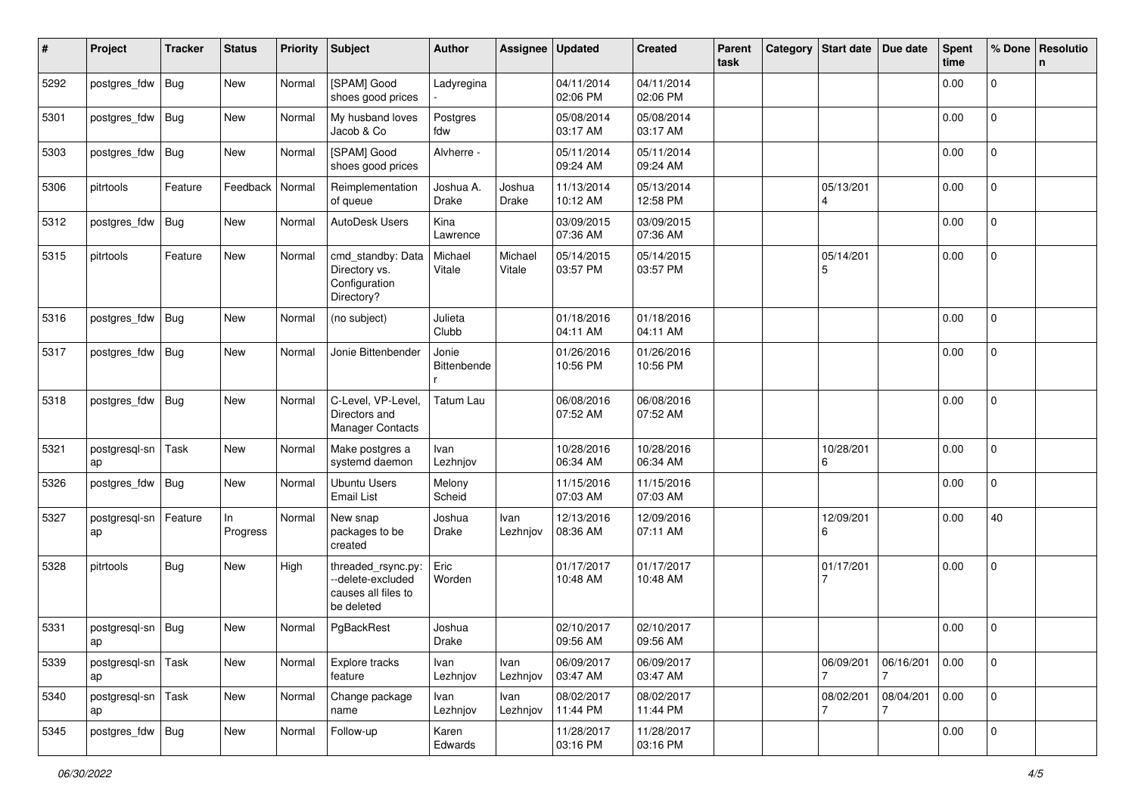| #    | Project             | <b>Tracker</b> | <b>Status</b>  | <b>Priority</b> | <b>Subject</b>                                                               | <b>Author</b>             | Assignee          | <b>Updated</b>         | <b>Created</b>         | Parent<br>task | Category Start date | Due date       | <b>Spent</b><br>time | % Done              | Resolutio<br>n |
|------|---------------------|----------------|----------------|-----------------|------------------------------------------------------------------------------|---------------------------|-------------------|------------------------|------------------------|----------------|---------------------|----------------|----------------------|---------------------|----------------|
| 5292 | postgres_fdw        | Bug            | New            | Normal          | [SPAM] Good<br>shoes good prices                                             | Ladyregina                |                   | 04/11/2014<br>02:06 PM | 04/11/2014<br>02:06 PM |                |                     |                | 0.00                 | 0                   |                |
| 5301 | postgres_fdw        | Bug            | New            | Normal          | My husband loves<br>Jacob & Co                                               | Postgres<br>fdw           |                   | 05/08/2014<br>03:17 AM | 05/08/2014<br>03:17 AM |                |                     |                | 0.00                 | 0                   |                |
| 5303 | postgres_fdw        | Bug            | New            | Normal          | [SPAM] Good<br>shoes good prices                                             | Alvherre -                |                   | 05/11/2014<br>09:24 AM | 05/11/2014<br>09:24 AM |                |                     |                | 0.00                 | 0                   |                |
| 5306 | pitrtools           | Feature        | Feedback       | Normal          | Reimplementation<br>of queue                                                 | Joshua A.<br><b>Drake</b> | Joshua<br>Drake   | 11/13/2014<br>10:12 AM | 05/13/2014<br>12:58 PM |                | 05/13/201<br>4      |                | 0.00                 | 0                   |                |
| 5312 | postgres_fdw        | <b>Bug</b>     | New            | Normal          | AutoDesk Users                                                               | Kina<br>Lawrence          |                   | 03/09/2015<br>07:36 AM | 03/09/2015<br>07:36 AM |                |                     |                | 0.00                 | $\Omega$            |                |
| 5315 | pitrtools           | Feature        | New            | Normal          | cmd_standby: Data<br>Directory vs.<br>Configuration<br>Directory?            | Michael<br>Vitale         | Michael<br>Vitale | 05/14/2015<br>03:57 PM | 05/14/2015<br>03:57 PM |                | 05/14/201<br>5      |                | 0.00                 | $\overline{0}$      |                |
| 5316 | postgres_fdw        | Bug            | <b>New</b>     | Normal          | (no subject)                                                                 | Julieta<br>Clubb          |                   | 01/18/2016<br>04:11 AM | 01/18/2016<br>04:11 AM |                |                     |                | 0.00                 | $\overline{0}$      |                |
| 5317 | postgres_fdw        | Bug            | New            | Normal          | Jonie Bittenbender                                                           | Jonie<br>Bittenbende      |                   | 01/26/2016<br>10:56 PM | 01/26/2016<br>10:56 PM |                |                     |                | 0.00                 | 0                   |                |
| 5318 | postgres_fdw        | Bug            | New            | Normal          | C-Level, VP-Level,<br>Directors and<br><b>Manager Contacts</b>               | <b>Tatum Lau</b>          |                   | 06/08/2016<br>07:52 AM | 06/08/2016<br>07:52 AM |                |                     |                | 0.00                 | $\Omega$            |                |
| 5321 | postgresql-sn<br>ap | Task           | New            | Normal          | Make postgres a<br>systemd daemon                                            | Ivan<br>Lezhnjov          |                   | 10/28/2016<br>06:34 AM | 10/28/2016<br>06:34 AM |                | 10/28/201<br>6      |                | 0.00                 | $\Omega$            |                |
| 5326 | postgres_fdw        | Bug            | New            | Normal          | <b>Ubuntu Users</b><br><b>Email List</b>                                     | Melony<br>Scheid          |                   | 11/15/2016<br>07:03 AM | 11/15/2016<br>07:03 AM |                |                     |                | 0.00                 | 0                   |                |
| 5327 | postgresql-sn<br>ap | Feature        | In<br>Progress | Normal          | New snap<br>packages to be<br>created                                        | Joshua<br>Drake           | Ivan<br>Lezhnjov  | 12/13/2016<br>08:36 AM | 12/09/2016<br>07:11 AM |                | 12/09/201<br>6      |                | 0.00                 | 40                  |                |
| 5328 | pitrtools           | <b>Bug</b>     | New            | High            | threaded_rsync.py:<br>--delete-excluded<br>causes all files to<br>be deleted | Eric<br>Worden            |                   | 01/17/2017<br>10:48 AM | 01/17/2017<br>10:48 AM |                | 01/17/201           |                | 0.00                 | 0                   |                |
| 5331 | postgresql-sn       | Bug            | New            | Normal          | PgBackRest                                                                   | Joshua<br>Drake           |                   | 02/10/2017<br>09:56 AM | 02/10/2017<br>09:56 AM |                |                     |                | 0.00                 | 0                   |                |
| 5339 | postgresql-sn<br>ap | Task           | New            | Normal          | Explore tracks<br>feature                                                    | Ivan<br>Lezhnjov          | Ivan<br>Lezhnjov  | 06/09/2017<br>03:47 AM | 06/09/2017<br>03:47 AM |                | 06/09/201           | 06/16/201<br>7 | 0.00                 | $\mathbf{0}$        |                |
| 5340 | postgresql-sn<br>ap | Task           | New            | Normal          | Change package<br>name                                                       | Ivan<br>Lezhnjov          | Ivan<br>Lezhnjov  | 08/02/2017<br>11:44 PM | 08/02/2017<br>11:44 PM |                | 08/02/201<br>7      | 08/04/201<br>7 | 0.00                 | $\mathsf{O}\xspace$ |                |
| 5345 | postgres_fdw Bug    |                | New            | Normal          | Follow-up                                                                    | Karen<br>Edwards          |                   | 11/28/2017<br>03:16 PM | 11/28/2017<br>03:16 PM |                |                     |                | 0.00                 | 0                   |                |